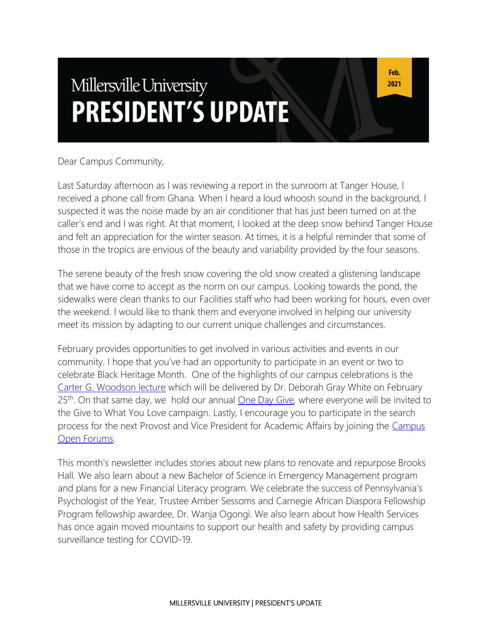# Millersville University **PRESIDENT'S UPDATE**

Dear Campus Community,

Last Saturday afternoon as I was reviewing a report in the sunroom at Tanger House, I received a phone call from Ghana. When I heard a loud whoosh sound in the background, I suspected it was the noise made by an air conditioner that has just been turned on at the caller's end and I was right. At that moment, I looked at the deep snow behind Tanger House and felt an appreciation for the winter season. At times, it is a helpful reminder that some of those in the tropics are envious of the beauty and variability provided by the four seasons.

The serene beauty of the fresh snow covering the old snow created a glistening landscape that we have come to accept as the norm on our campus. Looking towards the pond, the sidewalks were clean thanks to our Facilities staff who had been working for hours, even over the weekend. I would like to thank them and everyone involved in helping our university meet its mission by adapting to our current unique challenges and circumstances.

February provides opportunities to get involved in various activities and events in our community. I hope that you've had an opportunity to participate in an event or two to celebrate Black Heritage Month. One of the highlights of our campus celebrations is the [Carter G. Woodson lecture](https://blogs.millersville.edu/news/2021/02/15/dr-deborah-gray-white-to-speak-at-carter-g-woodson-lecture/) which will be delivered by Dr. Deborah Gray White on February  $25<sup>th</sup>$ . On that same day, we hold our annual <u>One Day Give</u>, where everyone will be invited to the Give to What You Love campaign. Lastly, I encourage you to participate in the search process for the next Provost and Vice President for Academic Affairs by joining the [Campus](https://www.millersville.edu/president/provost-search/index.php)  [Open Forums.](https://www.millersville.edu/president/provost-search/index.php)

This month's newsletter includes stories about new plans to renovate and repurpose Brooks Hall. We also learn about a new Bachelor of Science in Emergency Management program and plans for a new Financial Literacy program. We celebrate the success of Pennsylvania's Psychologist of the Year, Trustee Amber Sessoms and Carnegie African Diaspora Fellowship Program fellowship awardee, Dr. Wanja Ogongi. We also learn about how Health Services has once again moved mountains to support our health and safety by providing campus surveillance testing for COVID-19.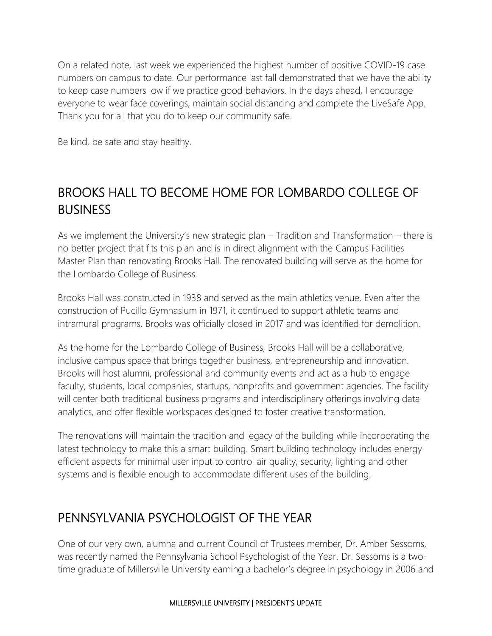On a related note, last week we experienced the highest number of positive COVID-19 case numbers on campus to date. Our performance last fall demonstrated that we have the ability to keep case numbers low if we practice good behaviors. In the days ahead, I encourage everyone to wear face coverings, maintain social distancing and complete the LiveSafe App. Thank you for all that you do to keep our community safe.

Be kind, be safe and stay healthy.

### BROOKS HALL TO BECOME HOME FOR LOMBARDO COLLEGE OF BUSINESS

As we implement the University's new strategic plan – Tradition and Transformation – there is no better project that fits this plan and is in direct alignment with the Campus Facilities Master Plan than renovating Brooks Hall. The renovated building will serve as the home for the Lombardo College of Business.

Brooks Hall was constructed in 1938 and served as the main athletics venue. Even after the construction of Pucillo Gymnasium in 1971, it continued to support athletic teams and intramural programs. Brooks was officially closed in 2017 and was identified for demolition.

As the home for the Lombardo College of Business, Brooks Hall will be a collaborative, inclusive campus space that brings together business, entrepreneurship and innovation. Brooks will host alumni, professional and community events and act as a hub to engage faculty, students, local companies, startups, nonprofits and government agencies. The facility will center both traditional business programs and interdisciplinary offerings involving data analytics, and offer flexible workspaces designed to foster creative transformation.

The renovations will maintain the tradition and legacy of the building while incorporating the latest technology to make this a smart building. Smart building technology includes energy efficient aspects for minimal user input to control air quality, security, lighting and other systems and is flexible enough to accommodate different uses of the building.

### PENNSYLVANIA PSYCHOLOGIST OF THE YEAR

One of our very own, alumna and current Council of Trustees member, Dr. Amber Sessoms, was recently named the Pennsylvania School Psychologist of the Year. Dr. Sessoms is a twotime graduate of Millersville University earning a bachelor's degree in psychology in 2006 and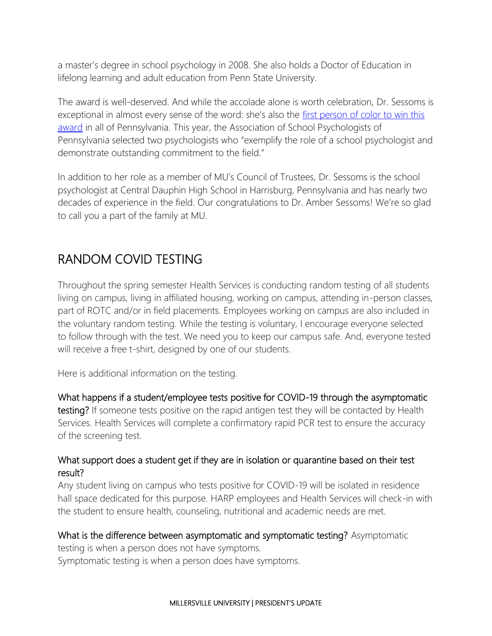a master's degree in school psychology in 2008. She also holds a Doctor of Education in lifelong learning and adult education from Penn State University.

The award is well-deserved. And while the accolade alone is worth celebration, Dr. Sessoms is exceptional in almost every sense of the word: she's also the first person of color to win this [award](https://twitter.com/ASPPschoolpsych/status/1354503095301140480?s=20) in all of Pennsylvania. This year, the Association of School Psychologists of Pennsylvania selected two psychologists who "exemplify the role of a school psychologist and demonstrate outstanding commitment to the field."

In addition to her role as a member of MU's Council of Trustees, Dr. Sessoms is the school psychologist at Central Dauphin High School in Harrisburg, Pennsylvania and has nearly two decades of experience in the field. Our congratulations to Dr. Amber Sessoms! We're so glad to call you a part of the family at MU.

### RANDOM COVID TESTING

Throughout the spring semester Health Services is conducting random testing of all students living on campus, living in affiliated housing, working on campus, attending in-person classes, part of ROTC and/or in field placements. Employees working on campus are also included in the voluntary random testing. While the testing is voluntary, I encourage everyone selected to follow through with the test. We need you to keep our campus safe. And, everyone tested will receive a free t-shirt, designed by one of our students.

Here is additional information on the testing.

#### What happens if a student/employee tests positive for COVID-19 through the asymptomatic

testing? If someone tests positive on the rapid antigen test they will be contacted by Health Services. Health Services will complete a confirmatory rapid PCR test to ensure the accuracy of the screening test.

#### What support does a student get if they are in isolation or quarantine based on their test result?

Any student living on campus who tests positive for COVID-19 will be isolated in residence hall space dedicated for this purpose. HARP employees and Health Services will check-in with the student to ensure health, counseling, nutritional and academic needs are met.

#### What is the difference between asymptomatic and symptomatic testing? Asymptomatic

testing is when a person does not have symptoms.

Symptomatic testing is when a person does have symptoms.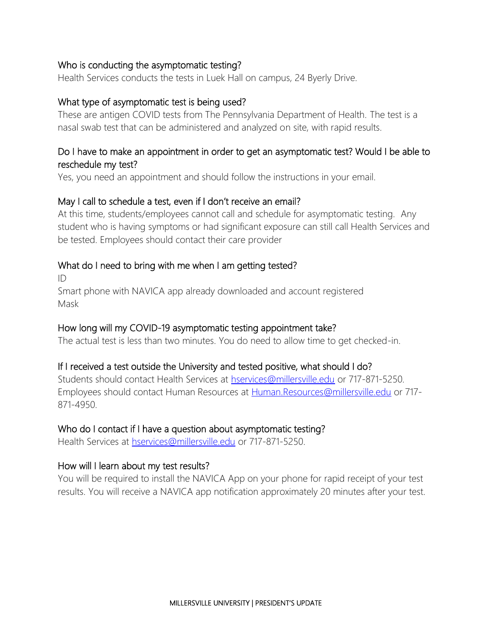#### Who is conducting the asymptomatic testing?

Health Services conducts the tests in Luek Hall on campus, 24 Byerly Drive.

#### What type of asymptomatic test is being used?

These are antigen COVID tests from The Pennsylvania Department of Health. The test is a nasal swab test that can be administered and analyzed on site, with rapid results.

#### Do I have to make an appointment in order to get an asymptomatic test? Would I be able to reschedule my test?

Yes, you need an appointment and should follow the instructions in your email.

#### May I call to schedule a test, even if I don't receive an email?

At this time, students/employees cannot call and schedule for asymptomatic testing. Any student who is having symptoms or had significant exposure can still call Health Services and be tested. Employees should contact their care provider

#### What do I need to bring with me when I am getting tested?

ID

Smart phone with NAVICA app already downloaded and account registered Mask

#### How long will my COVID-19 asymptomatic testing appointment take?

The actual test is less than two minutes. You do need to allow time to get checked-in.

#### If I received a test outside the University and tested positive, what should I do?

Students should contact Health Services at [hservices@millersville.edu](mailto:hservices@millersville.edu) or 717-871-5250. Employees should contact Human Resources at [Human.Resources@millersville.edu](mailto:Human.Resources@millersville.edu) or 717- 871-4950.

#### Who do I contact if I have a question about asymptomatic testing?

Health Services at [hservices@millersville.edu](mailto:hservices@millersville.edu) or 717-871-5250.

#### How will I learn about my test results?

You will be required to install the NAVICA App on your phone for rapid receipt of your test results. You will receive a NAVICA app notification approximately 20 minutes after your test.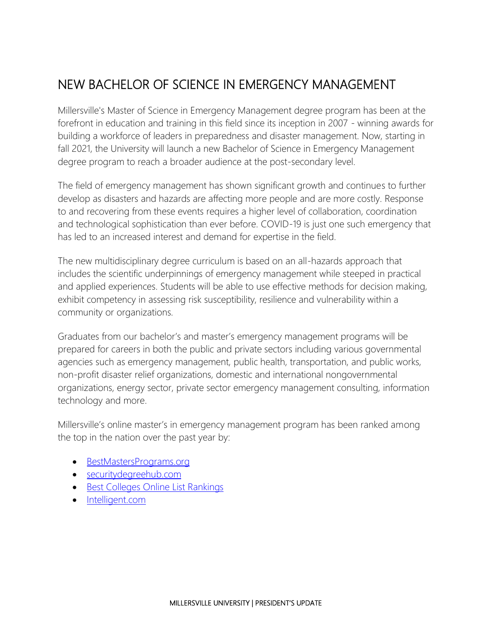# NEW BACHELOR OF SCIENCE IN EMERGENCY MANAGEMENT

Millersville's Master of Science in Emergency Management degree program has been at the forefront in education and training in this field since its inception in 2007 - winning awards for building a workforce of leaders in preparedness and disaster management. Now, starting in fall 2021, the University will launch a new Bachelor of Science in Emergency Management degree program to reach a broader audience at the post-secondary level.

The field of emergency management has shown significant growth and continues to further develop as disasters and hazards are affecting more people and are more costly. Response to and recovering from these events requires a higher level of collaboration, coordination and technological sophistication than ever before. COVID-19 is just one such emergency that has led to an increased interest and demand for expertise in the field.

The new multidisciplinary degree curriculum is based on an all-hazards approach that includes the scientific underpinnings of emergency management while steeped in practical and applied experiences. Students will be able to use effective methods for decision making, exhibit competency in assessing risk susceptibility, resilience and vulnerability within a community or organizations.

Graduates from our bachelor's and master's emergency management programs will be prepared for careers in both the public and private sectors including various governmental agencies such as emergency management, public health, transportation, and public works, non-profit disaster relief organizations, domestic and international nongovernmental organizations, energy sector, private sector emergency management consulting, information technology and more.

Millersville's online master's in emergency management program has been ranked among the top in the nation over the past year by:

- [BestMastersPrograms.org](https://www.bestmastersprograms.org/best-online-emergency-management-masters/)
- [securitydegreehub.com](https://www.securitydegreehub.com/top-online-masters-emergency-disaster-management-degrees/)
- [Best Colleges Online List Rankings](https://www.bestcollegesonline.org/most-affordable/online-masters-emergency-management/)
- [Intelligent.com](https://www.intelligent.com/best-masters-in-emergency-management-degree-programs/)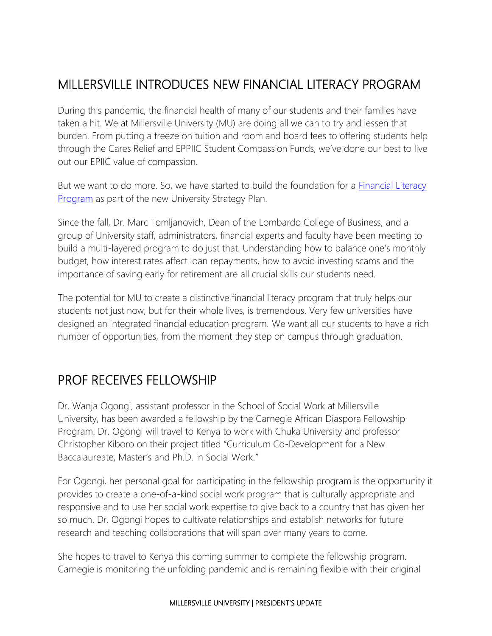## MILLERSVILLE INTRODUCES NEW FINANCIAL LITERACY PROGRAM

During this pandemic, the financial health of many of our students and their families have taken a hit. We at Millersville University (MU) are doing all we can to try and lessen that burden. From putting a freeze on tuition and room and board fees to offering students help through the Cares Relief and EPPIIC Student Compassion Funds, we've done our best to live out our EPIIC value of compassion.

But we want to do more. So, we have started to build the foundation for a [Financial Literacy](https://www.millersville.edu/business/financial-education.php)  [Program](https://www.millersville.edu/business/financial-education.php) as part of the new University Strategy Plan.

Since the fall, Dr. Marc Tomljanovich, Dean of the Lombardo College of Business, and a group of University staff, administrators, financial experts and faculty have been meeting to build a multi-layered program to do just that. Understanding how to balance one's monthly budget, how interest rates affect loan repayments, how to avoid investing scams and the importance of saving early for retirement are all crucial skills our students need.

The potential for MU to create a distinctive financial literacy program that truly helps our students not just now, but for their whole lives, is tremendous. Very few universities have designed an integrated financial education program. We want all our students to have a rich number of opportunities, from the moment they step on campus through graduation.

### PROF RECEIVES FELLOWSHIP

Dr. Wanja Ogongi, assistant professor in the School of Social Work at Millersville University, has been awarded a fellowship by the Carnegie African Diaspora Fellowship Program. Dr. Ogongi will travel to Kenya to work with Chuka University and professor Christopher Kiboro on their project titled "Curriculum Co-Development for a New Baccalaureate, Master's and Ph.D. in Social Work."

For Ogongi, her personal goal for participating in the fellowship program is the opportunity it provides to create a one-of-a-kind social work program that is culturally appropriate and responsive and to use her social work expertise to give back to a country that has given her so much. Dr. Ogongi hopes to cultivate relationships and establish networks for future research and teaching collaborations that will span over many years to come.

She hopes to travel to Kenya this coming summer to complete the fellowship program. Carnegie is monitoring the unfolding pandemic and is remaining flexible with their original